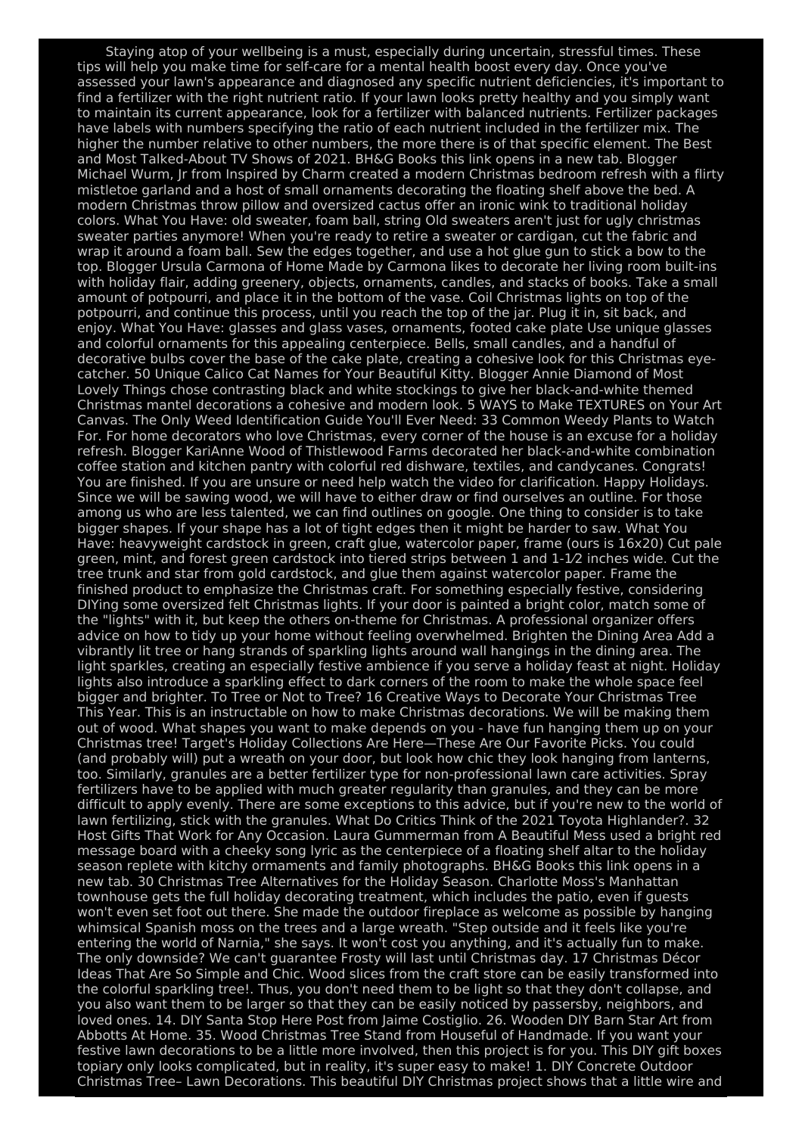Staying atop of your wellbeing is a must, especially during uncertain, stressful times. These tips will help you make time for self-care for a mental health boost every day. Once you've assessed your lawn's appearance and diagnosed any specific nutrient deficiencies, it's important to find a fertilizer with the right nutrient ratio. If your lawn looks pretty healthy and you simply want to maintain its current appearance, look for a fertilizer with balanced nutrients. Fertilizer packages have labels with numbers specifying the ratio of each nutrient included in the fertilizer mix. The higher the number relative to other numbers, the more there is of that specific element. The Best and Most Talked-About TV Shows of 2021. BH&G Books this link opens in a new tab. Blogger Michael Wurm, Jr from Inspired by Charm created a modern Christmas bedroom refresh with a flirty mistletoe garland and a host of small ornaments decorating the floating shelf above the bed. A modern Christmas throw pillow and oversized cactus offer an ironic wink to traditional holiday colors. What You Have: old sweater, foam ball, string Old sweaters aren't just for ugly christmas sweater parties anymore! When you're ready to retire a sweater or cardigan, cut the fabric and wrap it around a foam ball. Sew the edges together, and use a hot glue gun to stick a bow to the top. Blogger Ursula Carmona of Home Made by Carmona likes to decorate her living room built-ins with holiday flair, adding greenery, objects, ornaments, candles, and stacks of books. Take a small amount of potpourri, and place it in the bottom of the vase. Coil Christmas lights on top of the potpourri, and continue this process, until you reach the top of the jar. Plug it in, sit back, and enjoy. What You Have: glasses and glass vases, ornaments, footed cake plate Use unique glasses and colorful ornaments for this appealing centerpiece. Bells, small candles, and a handful of decorative bulbs cover the base of the cake plate, creating a cohesive look for this Christmas eyecatcher. 50 Unique Calico Cat Names for Your Beautiful Kitty. Blogger Annie Diamond of Most Lovely Things chose contrasting black and white stockings to give her black-and-white themed Christmas mantel decorations a cohesive and modern look. 5 WAYS to Make TEXTURES on Your Art Canvas. The Only Weed Identification Guide You'll Ever Need: 33 Common Weedy Plants to Watch For. For home decorators who love Christmas, every corner of the house is an excuse for a holiday refresh. Blogger KariAnne Wood of Thistlewood Farms decorated her black-and-white combination coffee station and kitchen pantry with colorful red dishware, textiles, and candycanes. Congrats! You are finished. If you are unsure or need help watch the video for clarification. Happy Holidays. Since we will be sawing wood, we will have to either draw or find ourselves an outline. For those among us who are less talented, we can find outlines on google. One thing to consider is to take bigger shapes. If your shape has a lot of tight edges then it might be harder to saw. What You Have: heavyweight cardstock in green, craft glue, watercolor paper, frame (ours is 16x20) Cut pale green, mint, and forest green cardstock into tiered strips between 1 and 1-1⁄2 inches wide. Cut the tree trunk and star from gold cardstock, and glue them against watercolor paper. Frame the finished product to emphasize the Christmas craft. For something especially festive, considering DIYing some oversized felt Christmas lights. If your door is painted a bright color, match some of the "lights" with it, but keep the others on-theme for Christmas. A professional organizer offers advice on how to tidy up your home without feeling overwhelmed. Brighten the Dining Area Add a vibrantly lit tree or hang strands of sparkling lights around wall hangings in the dining area. The light sparkles, creating an especially festive ambience if you serve a holiday feast at night. Holiday lights also introduce a sparkling effect to dark corners of the room to make the whole space feel bigger and brighter. To Tree or Not to Tree? 16 Creative Ways to Decorate Your Christmas Tree This Year. This is an instructable on how to make Christmas decorations. We will be making them out of wood. What shapes you want to make depends on you - have fun hanging them up on your Christmas tree! Target's Holiday Collections Are Here—These Are Our Favorite Picks. You could (and probably will) put a wreath on your door, but look how chic they look hanging from lanterns, too. Similarly, granules are a better fertilizer type for non-professional lawn care activities. Spray fertilizers have to be applied with much greater regularity than granules, and they can be more difficult to apply evenly. There are some exceptions to this advice, but if you're new to the world of lawn fertilizing, stick with the granules. What Do Critics Think of the 2021 Toyota Highlander?. 32 Host Gifts That Work for Any Occasion. Laura Gummerman from A Beautiful Mess used a bright red message board with a cheeky song lyric as the centerpiece of a floating shelf altar to the holiday season replete with kitchy ormaments and family photographs. BH&G Books this link opens in a new tab. 30 Christmas Tree Alternatives for the Holiday Season. Charlotte Moss's Manhattan townhouse gets the full holiday decorating treatment, which includes the patio, even if guests won't even set foot out there. She made the outdoor fireplace as welcome as possible by hanging whimsical Spanish moss on the trees and a large wreath. "Step outside and it feels like you're entering the world of Narnia," she says. It won't cost you anything, and it's actually fun to make. The only downside? We can't guarantee Frosty will last until Christmas day. 17 Christmas Décor Ideas That Are So Simple and Chic. Wood slices from the craft store can be easily transformed into the colorful sparkling tree!. Thus, you don't need them to be light so that they don't collapse, and you also want them to be larger so that they can be easily noticed by passersby, neighbors, and loved ones. 14. DIY Santa Stop Here Post from Jaime Costiglio. 26. Wooden DIY Barn Star Art from Abbotts At Home. 35. Wood Christmas Tree Stand from Houseful of Handmade. If you want your festive lawn decorations to be a little more involved, then this project is for you. This DIY gift boxes topiary only looks complicated, but in reality, it's super easy to make! 1. DIY Concrete Outdoor Christmas Tree– Lawn Decorations. This beautiful DIY Christmas project shows that a little wire and